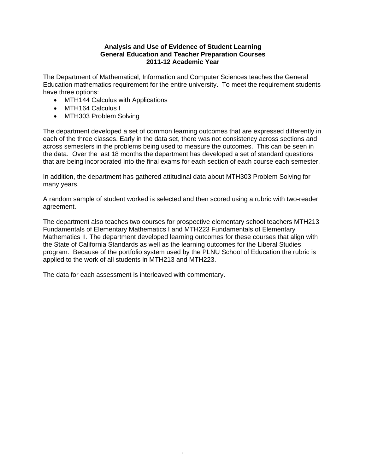## **Analysis and Use of Evidence of Student Learning General Education and Teacher Preparation Courses 2011-12 Academic Year**

The Department of Mathematical, Information and Computer Sciences teaches the General Education mathematics requirement for the entire university. To meet the requirement students have three options:

- MTH144 Calculus with Applications
- MTH164 Calculus I
- MTH303 Problem Solving

The department developed a set of common learning outcomes that are expressed differently in each of the three classes. Early in the data set, there was not consistency across sections and across semesters in the problems being used to measure the outcomes. This can be seen in the data. Over the last 18 months the department has developed a set of standard questions that are being incorporated into the final exams for each section of each course each semester.

In addition, the department has gathered attitudinal data about MTH303 Problem Solving for many years.

A random sample of student worked is selected and then scored using a rubric with two-reader agreement.

The department also teaches two courses for prospective elementary school teachers MTH213 Fundamentals of Elementary Mathematics I and MTH223 Fundamentals of Elementary Mathematics II. The department developed learning outcomes for these courses that align with the State of California Standards as well as the learning outcomes for the Liberal Studies program. Because of the portfolio system used by the PLNU School of Education the rubric is applied to the work of all students in MTH213 and MTH223.

The data for each assessment is interleaved with commentary.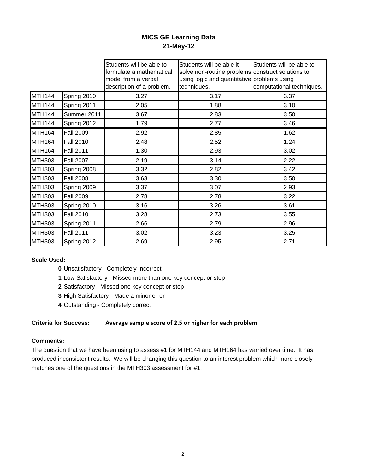# **MICS GE Learning Data 21-May-12**

|                    |                  | Students will be able to  | Students will be able it                          | Students will be able to  |
|--------------------|------------------|---------------------------|---------------------------------------------------|---------------------------|
|                    |                  | formulate a mathematical  | solve non-routine problems construct solutions to |                           |
|                    |                  | model from a verbal       | using logic and quantitative problems using       |                           |
|                    |                  | description of a problem. | techniques.                                       | computational techniques. |
| MTH144             | Spring 2010      | 3.27                      | 3.17                                              | 3.37                      |
| MTH <sub>144</sub> | Spring 2011      | 2.05                      | 1.88                                              | 3.10                      |
| <b>MTH144</b>      | Summer 2011      | 3.67                      | 2.83                                              | 3.50                      |
| MTH <sub>144</sub> | Spring 2012      | 1.79                      | 2.77                                              | 3.46                      |
| MTH <sub>164</sub> | <b>Fall 2009</b> | 2.92                      | 2.85                                              | 1.62                      |
| MTH <sub>164</sub> | <b>Fall 2010</b> | 2.48                      | 2.52                                              | 1.24                      |
| MTH <sub>164</sub> | <b>Fall 2011</b> | 1.30                      | 2.93                                              | 3.02                      |
| <b>MTH303</b>      | <b>Fall 2007</b> | 2.19                      | 3.14                                              | 2.22                      |
| <b>MTH303</b>      | Spring 2008      | 3.32                      | 2.82                                              | 3.42                      |
| <b>MTH303</b>      | <b>Fall 2008</b> | 3.63                      | 3.30                                              | 3.50                      |
| <b>MTH303</b>      | Spring 2009      | 3.37                      | 3.07                                              | 2.93                      |
| <b>MTH303</b>      | <b>Fall 2009</b> | 2.78                      | 2.78                                              | 3.22                      |
| <b>MTH303</b>      | Spring 2010      | 3.16                      | 3.26                                              | 3.61                      |
| <b>MTH303</b>      | <b>Fall 2010</b> | 3.28                      | 2.73                                              | 3.55                      |
| <b>MTH303</b>      | Spring 2011      | 2.66                      | 2.79                                              | 2.96                      |
| <b>MTH303</b>      | <b>Fall 2011</b> | 3.02                      | 3.23                                              | 3.25                      |
| <b>MTH303</b>      | Spring 2012      | 2.69                      | 2.95                                              | 2.71                      |

## **Scale Used:**

- **0** Unsatisfactory Completely Incorrect
- **1** Low Satisfactory Missed more than one key concept or step
- **2** Satisfactory Missed one key concept or step
- **3** High Satisfactory Made a minor error
- **4** Outstanding Completely correct

# **Criteria for Success: Average sample score of 2.5 or higher for each problem**

## **Comments:**

The question that we have been using to assess #1 for MTH144 and MTH164 has varried over time. It has produced inconsistent results. We will be changing this question to an interest problem which more closely matches one of the questions in the MTH303 assessment for #1.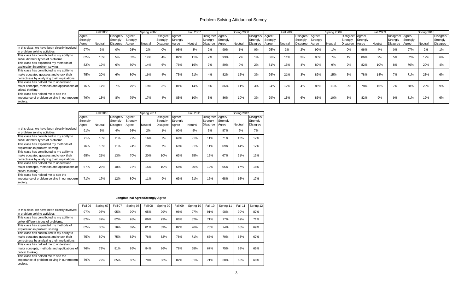## Problem Solving Attidudinal Survey

|                                                                                                                                      |                    | <b>Fall 2006</b> |                              |          | Spring 2007 |                              |          | <b>Fall 2007</b> |                              |          | Spring 2008 |                              |          | <b>Fall 2008</b> |                              |          | Spring 2009 |                              |          | <b>Fall 2009</b> |                              |          | Spring 2010 |                       |
|--------------------------------------------------------------------------------------------------------------------------------------|--------------------|------------------|------------------------------|----------|-------------|------------------------------|----------|------------------|------------------------------|----------|-------------|------------------------------|----------|------------------|------------------------------|----------|-------------|------------------------------|----------|------------------|------------------------------|----------|-------------|-----------------------|
|                                                                                                                                      | Aaree/<br>Strongly |                  | Disagree/ Agree/<br>Strongly | Strongly |             | Disagree/ Agree/<br>Strongly | Strongly |                  | Disagree/ Agree/<br>Strongly | Strongly |             | Disagree/ Agree/<br>Strongly | Strongly |                  | Disagree/ Agree/<br>Strongly | Strongly |             | Disagree/ Agree/<br>Strongly | Strongly |                  | Disagree/ Agree/<br>Strongly | Strongly |             | Disagree/<br>Strongly |
|                                                                                                                                      | Aaree              | Neutral          | Disagree                     | Agree    | Neutral     | Disagree                     | Agree    | Neutral          | <b>Disagree</b>              | Agree    | Neutral     | <b>Disagree</b>              | Agree    | Neutral          | Disagree                     | Agree    | Neutral     | Disagree                     | Agree    | Neutral          | Disagree                     | Agree    | Neutral     | <b>Disagree</b>       |
| In this class, we have been directly involved<br>in problem solving activities.                                                      | 97%                | 3%               | 0%                           | 98%      | 2%          | 0%                           | 95%      | 3%               | 2%                           | 99%      | 40/         | 0%                           | 95%      | 3%               | 2%                           | 99%      | 401         | 0%                           | 96%      | 4%               | 0%                           | 97%      | 2%          | 1%                    |
| This class has contributed to my ability to<br>solve different types of problems.                                                    | 82%                | 13%              | 5%                           | 82%      | 14%         | 4%                           | 82%      | 11%              | 7%                           | 93%      | 70/         | 1%                           | 86%      | 11%              | 3%                           | 93%      | 70/         | 1%                           | 86%      | 9%               | 5%                           | 82%      | 12%         | 6%                    |
| This class has expanded my methods of<br>exploration in problem solving.                                                             | 82%                | 12%              | 6%                           | 80%      | 14%         | 6%                           | 76%      | 16%              | 7%                           | 89%      | 9%          | 2%                           | 81%      | 15%              | 4%                           | 89%      | 9%          | 2%                           | 82%      | 10%              | 8%                           | 76%      | 20%         | 4%                    |
| This class has contributed to my ability to<br>make educated guesses and check their<br>correctness by analyzing their implications. | 75%                | 20%              | 6%                           | 80%      | 16%         | 4%                           | 75%      | 21%              | 4%                           | 82%      | 15%         | 3%                           | 76%      | 21%              | 3%                           | 82%      | 15%         | 3%                           | 78%      | 14%              | 7%                           | 71%      | 23%         | 6%                    |
| This class has helped me to understand<br>major concepts, methods and applications of<br>critical thinking.                          | 76%                | 17%              | 7%                           | 79%      | 18%         | 3%                           | 81%      | 14%              | 5%                           | 86%      | 11%         | 3%                           | 84%      | 12%              | 4%                           | 86%      | 11%         | 3%                           | 78%      | 16%              | 7%                           | 68%      | 23%         | 9%                    |
| This class has helped me to see the<br>importance of problem solving in our modern<br>society.                                       | 79%                | 13%              | 8%                           | 79%      | 17%         | 4%                           | 85%      | 10%              | 5%                           | 86%      | 10%         | 3%                           | 79%      | 15%              | 6%                           | 86%      | 10%         | 3%                           | 82%      | 9%               | 9%                           | 81%      | 12%         | 6%                    |

|                                                                                                                                      | <b>Fall 2010</b>            |         |                                          | Spring 2011                 |         |                                          |                             | <b>Fall 2011</b> |                                   | Spring 2012                 |         |                                          |  |
|--------------------------------------------------------------------------------------------------------------------------------------|-----------------------------|---------|------------------------------------------|-----------------------------|---------|------------------------------------------|-----------------------------|------------------|-----------------------------------|-----------------------------|---------|------------------------------------------|--|
|                                                                                                                                      | Agree/<br>Strongly<br>Agree | Neutral | Disagree/<br>Strongly<br><b>Disagree</b> | Agree/<br>Strongly<br>Agree | Neutral | Disagree/<br>Strongly<br><b>Disagree</b> | Agree/<br>Strongly<br>Agree | Neutral          | Disagree/<br>Strongly<br>Disagree | Agree/<br>Strongly<br>Agree | Neutral | Disagree/<br>Strongly<br><b>Disagree</b> |  |
| In this class, we have been directly involved<br>in problem solving activities.                                                      | 91%                         | 5%      | 4%                                       | 98%                         | 2%      | 1%                                       | 90%                         | 5%               | 5%                                | 87%                         | 6%      | 7%                                       |  |
| This class has contributed to my ability to<br>solve different types of problems.                                                    | 71%                         | 18%     | 11%                                      | 77%                         | 16%     | 7%                                       | 69%                         | 21%              | 11%                               | 71%                         | 12%     | 17%                                      |  |
| This class has expanded my methods of<br>exploration in problem solving.                                                             | 76%                         | 13%     | 11%                                      | 74%                         | 20%     | 7%                                       | 68%                         | 21%              | 11%                               | 69%                         | 14%     | 17%                                      |  |
| This class has contributed to my ability to<br>make educated quesses and check their<br>correctness by analyzing their implications. | 65%                         | 21%     | 13%                                      | 70%                         | 20%     | 10%                                      | 63%                         | 25%              | 12%                               | 67%                         | 21%     | 13%                                      |  |
| This class has helped me to understand<br>major concepts, methods and applications of<br>critical thinking.                          | 67%                         | 23%     | 10%                                      | 75%                         | 15%     | 10%                                      | 68%                         | 20%              | 12%                               | 65%                         | 17%     | 18%                                      |  |
| This class has helped me to see the<br>importance of problem solving in our modern<br>society.                                       | 71%                         | 17%     | 12%                                      | 80%                         | 11%     | 9%                                       | 63%                         | 21%              | 16%                               | 68%                         | 15%     | 17%                                      |  |

#### **Longitudinal Agree/Strongly Agree**

|                                                                                                                                      | Fall 06 | Spring 07 | Fall 07 | Spring 08 | Fall 08 | Spring 09 | Fall 09 | Spring 10 | Fall 10 | Spring 11 | Fall 11 | Spring 12 |
|--------------------------------------------------------------------------------------------------------------------------------------|---------|-----------|---------|-----------|---------|-----------|---------|-----------|---------|-----------|---------|-----------|
| In this class, we have been directly involved<br>in problem solving activities.                                                      | 97%     | 98%       | 95%     | 99%       | 95%     | 99%       | 96%     | 97%       | 91%     | 98%       | 90%     | 87%       |
| This class has contributed to my ability to<br>solve different types of problems.                                                    | 82%     | 82%       | 82%     | 93%       | 86%     | 93%       | 86%     | 82%       | 71%     | 77%       | 69%     | 71%       |
| This class has expanded my methods of<br>exploration in problem solving.                                                             | 82%     | 80%       | 76%     | 89%       | 81%     | 89%       | 82%     | 76%       | 76%     | 74%       | 68%     | 69%       |
| This class has contributed to my ability to<br>make educated quesses and check their<br>correctness by analyzing their implications. | 75%     | 80%       | 75%     | 82%       | 76%     | 82%       | 78%     | 71%       | 65%     | 70%       | 63%     | 67%       |
| This class has helped me to understand<br>major concepts, methods and applications of<br>critical thinking.                          | 76%     | 79%       | 81%     | 86%       | 84%     | 86%       | 78%     | 68%       | 67%     | 75%       | 68%     | 65%       |
| This class has helped me to see the<br>importance of problem solving in our modern<br>society.                                       | 79%     | 79%       | 85%     | 86%       | 79%     | 86%       | 82%     | 81%       | 71%     | 80%       | 63%     | 68%       |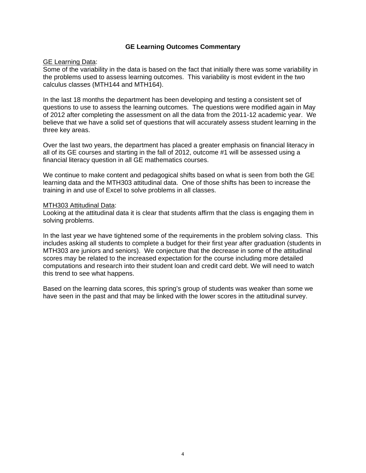## **GE Learning Outcomes Commentary**

## **GE Learning Data:**

Some of the variability in the data is based on the fact that initially there was some variability in the problems used to assess learning outcomes. This variability is most evident in the two calculus classes (MTH144 and MTH164).

In the last 18 months the department has been developing and testing a consistent set of questions to use to assess the learning outcomes. The questions were modified again in May of 2012 after completing the assessment on all the data from the 2011-12 academic year. We believe that we have a solid set of questions that will accurately assess student learning in the three key areas.

Over the last two years, the department has placed a greater emphasis on financial literacy in all of its GE courses and starting in the fall of 2012, outcome #1 will be assessed using a financial literacy question in all GE mathematics courses.

We continue to make content and pedagogical shifts based on what is seen from both the GE learning data and the MTH303 attitudinal data. One of those shifts has been to increase the training in and use of Excel to solve problems in all classes.

## MTH303 Attitudinal Data:

Looking at the attitudinal data it is clear that students affirm that the class is engaging them in solving problems.

In the last year we have tightened some of the requirements in the problem solving class. This includes asking all students to complete a budget for their first year after graduation (students in MTH303 are juniors and seniors). We conjecture that the decrease in some of the attitudinal scores may be related to the increased expectation for the course including more detailed computations and research into their student loan and credit card debt. We will need to watch this trend to see what happens.

Based on the learning data scores, this spring's group of students was weaker than some we have seen in the past and that may be linked with the lower scores in the attitudinal survey.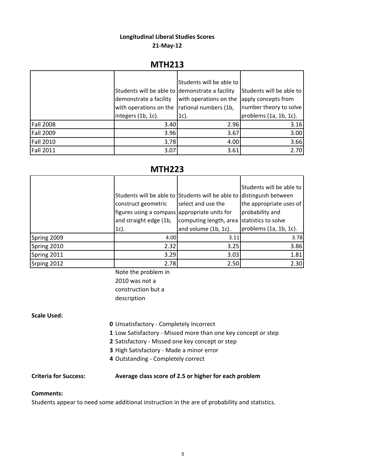# **Longitudinal Liberal Studies Scores**

# **21‐May‐12**

# **MTH213**

|                  |                                                 | Students will be able to |                          |
|------------------|-------------------------------------------------|--------------------------|--------------------------|
|                  | Students will be able to demonstrate a facility |                          | Students will be able to |
|                  | demonstrate a facility                          | with operations on the   | apply concepts from      |
|                  | with operations on the                          | rational numbers (1b,    | number theory to solve   |
|                  | integers (1b, 1c).                              | $1c$ ).                  | problems (1a, 1b, 1c).   |
| <b>Fall 2008</b> | 3.40                                            | 2.96                     | 3.16                     |
| <b>Fall 2009</b> | 3.96                                            | 3.67                     | 3.00                     |
| <b>Fall 2010</b> | 3.78                                            | 4.00                     | 3.66                     |
| <b>Fall 2011</b> | 3.07                                            | 3.61                     | 2.70                     |

# **MTH223**

|             | Students will be able to Students will be able to distinguish between<br>construct geometric<br>figures using a compass appropriate units for<br>and straight edge (1b,<br>$1c$ ). | select and use the<br>computing length, area statistics to solve<br>and volume (1b, 1c). | Students will be able to<br>the appropriate uses of<br>probability and<br>problems (1a, 1b, 1c). |
|-------------|------------------------------------------------------------------------------------------------------------------------------------------------------------------------------------|------------------------------------------------------------------------------------------|--------------------------------------------------------------------------------------------------|
| Spring 2009 | 4.00                                                                                                                                                                               | 3.11                                                                                     | 3.78                                                                                             |
| Spring 2010 | 2.32                                                                                                                                                                               | 3.25                                                                                     | 3.86                                                                                             |
| Spring 2011 | 3.29                                                                                                                                                                               | 3.03                                                                                     | 1.81                                                                                             |
| Srping 2012 | 2.78                                                                                                                                                                               | 2.50                                                                                     | 2.30                                                                                             |

Note the problem in 2010 was not a construction but a description

# **Scale Used:**

- **0** Unsatisfactory ‐ Completely Incorrect
- **1** Low Satisfactory ‐ Missed more than one key concept or step
- **2** Satisfactory ‐ Missed one key concept or step
- **3** High Satisfactory ‐ Made a minor error
- **4** Outstanding ‐ Completely correct

# **Criteria for Success: Average class score of 2.5 or higher for each problem**

## **Comments:**

Students appear to need some additional instruction in the are of probability and statistics.